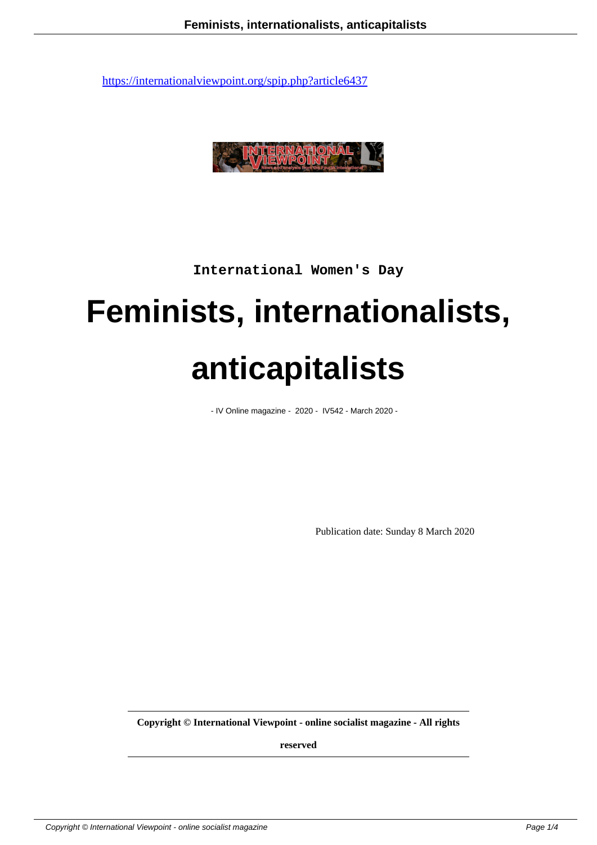

**International Women's Day**

## **Feminists, internationalists, anticapitalists**

- IV Online magazine - 2020 - IV542 - March 2020 -

Publication date: Sunday 8 March 2020

**Copyright © International Viewpoint - online socialist magazine - All rights**

**reserved**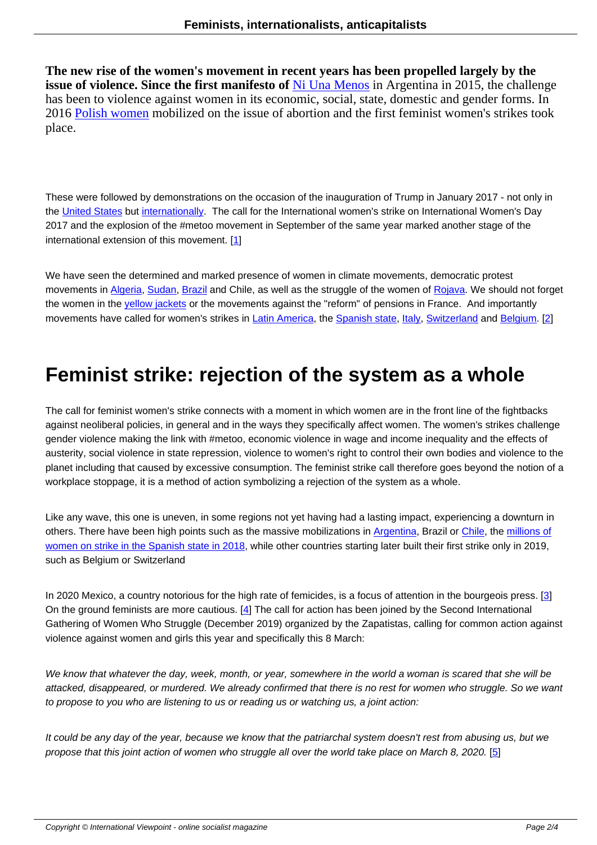**The new rise of the women's movement in recent years has been propelled largely by the issue of violence. Since the first manifesto of Ni Una Menos in Argentina in 2015, the challenge** has been to violence against women in its economic, social, state, domestic and gender forms. In 2016 Polish women mobilized on the issue of abortion and the first feminist women's strikes took place.

These were followed by demonstrations on the occasion of the inauguration of Trump in January 2017 - not only in the United States but internationally. The call for the International women's strike on International Women's Day 2017 and the explosion of the #metoo movement in September of the same year marked another stage of the international extension of this movement. [1]

We have seen the determined and marked presence of women in climate movements, democratic protest movements in Algeria, Sudan, Brazil and [Ch](#nb1)ile, as well as the struggle of the women of Rojava. We should not forget the women in the *yellow jackets* or the movements against the "reform" of pensions in France. And importantly movements have called for women's strikes in Latin America, the Spanish state, Italy, Switzerland and Belgium. [2]

### **Feminist strike: rejec[tion of t](http://internationalviewpoint.org/spip.php?article5648)h[e syste](http://www.internationalviewpoint.org/spip.php?article5397)[m](http://www.internationalviewpoint.org/spip.php?article5002) [as a w](http://www.internationalviewpoint.org/spip.php?article6161)h[ole](http://www.internationalviewpoint.org/spip.php?article6053)**

The call for feminist women's strike connects with a moment in which women are in the front line of the fightbacks against neoliberal policies, in general and in the ways they specifically affect women. The women's strikes challenge gender violence making the link with #metoo, economic violence in wage and income inequality and the effects of austerity, social violence in state repression, violence to women's right to control their own bodies and violence to the planet including that caused by excessive consumption. The feminist strike call therefore goes beyond the notion of a workplace stoppage, it is a method of action symbolizing a rejection of the system as a whole.

Like any wave, this one is uneven, in some regions not yet having had a lasting impact, experiencing a downturn in others. There have been high points such as the massive mobilizations in Argentina, Brazil or Chile, the millions of women on strike in the Spanish state in 2018, while other countries starting later built their first strike only in 2019, such as Belgium or Switzerland

[In 2020 Mexico, a country notorious for the hi](http://www.internationalviewpoint.org/spip.php?article5421)gh rate of femicides, is a focus of attention in the bourgeois press. [3] On the ground feminists are more cautious. [4] The call for action has been joined by the Second International Gathering of Women Who Struggle (December 2019) organized by the Zapatistas, calling for common action against violence against women and girls this year and specifically this 8 March:

We know that whatever the day, week, month, or year, somewhere in the world a woman is scared that she will be attacked, disappeared, or murdered. We already confirmed that there is no rest for women who struggle. So we want to propose to you who are listening to us or reading us or watching us, a joint action:

It could be any day of the year, because we know that the patriarchal system doesn't rest from abusing us, but we propose that this joint action of women who struggle all over the world take place on March 8, 2020. [5]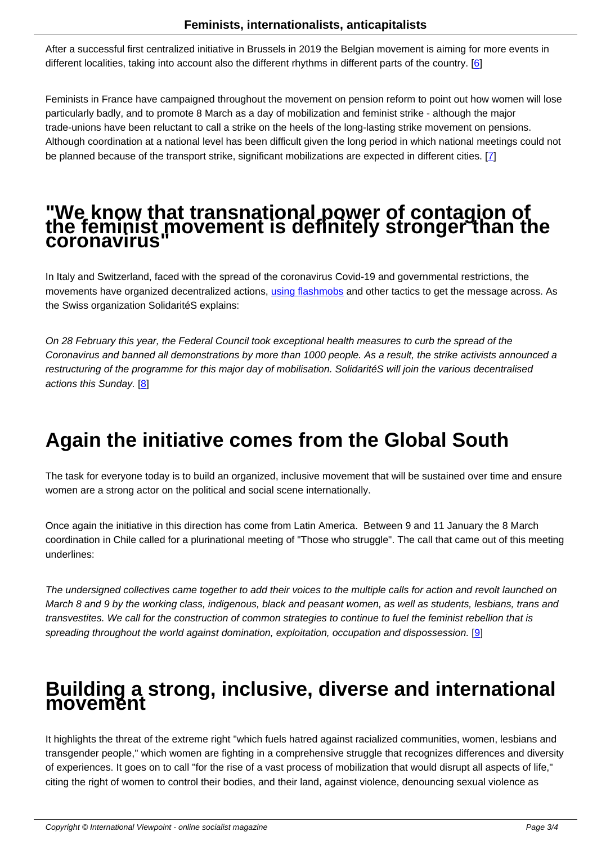After a successful first centralized initiative in Brussels in 2019 the Belgian movement is aiming for more events in different localities, taking into account also the different rhythms in different parts of the country. [6]

Feminists in France have campaigned throughout the movement on pension reform to point out how women will lose particularly badly, and to promote 8 March as a day of mobilization and feminist strike - although [th](#nb6)e major trade-unions have been reluctant to call a strike on the heels of the long-lasting strike movement on pensions. Although coordination at a national level has been difficult given the long period in which national meetings could not be planned because of the transport strike, significant mobilizations are expected in different cities. [7]

# **"We know that transnational power of contagi[o](#nb7)n of the feminist movement is definitely stronger than the coronavirus"**

In Italy and Switzerland, faced with the spread of the coronavirus Covid-19 and governmental restrictions, the movements have organized decentralized actions, using flashmobs and other tactics to get the message across. As the Swiss organization SolidaritéS explains:

On 28 February this year, the Federal Council took [exceptional heal](https://www.facebook.com/nonunadimenoroma/)th measures to curb the spread of the Coronavirus and banned all demonstrations by more than 1000 people. As a result, the strike activists announced a restructuring of the programme for this major day of mobilisation. SolidaritéS will join the various decentralised actions this Sunday. [8]

### **Again the [i](#nb8)nitiative comes from the Global South**

The task for everyone today is to build an organized, inclusive movement that will be sustained over time and ensure women are a strong actor on the political and social scene internationally.

Once again the initiative in this direction has come from Latin America. Between 9 and 11 January the 8 March coordination in Chile called for a plurinational meeting of "Those who struggle". The call that came out of this meeting underlines:

The undersigned collectives came together to add their voices to the multiple calls for action and revolt launched on March 8 and 9 by the working class, indigenous, black and peasant women, as well as students, lesbians, trans and transvestites. We call for the construction of common strategies to continue to fuel the feminist rebellion that is spreading throughout the world against domination, exploitation, occupation and dispossession. [9]

#### **Building a strong, inclusive, diverse and inte[rn](#nb9)ational movement**

It highlights the threat of the extreme right "which fuels hatred against racialized communities, women, lesbians and transgender people," which women are fighting in a comprehensive struggle that recognizes differences and diversity of experiences. It goes on to call "for the rise of a vast process of mobilization that would disrupt all aspects of life," citing the right of women to control their bodies, and their land, against violence, denouncing sexual violence as